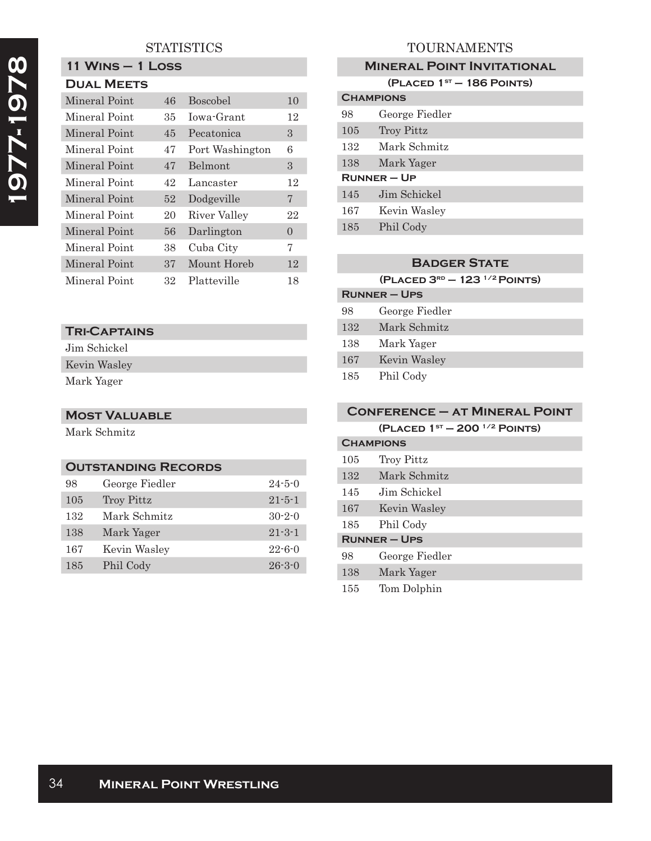# **STATISTICS**

**11 Wins – 1 Loss**

| <b>DUAL MEETS</b> |     |                 |    |
|-------------------|-----|-----------------|----|
| Mineral Point     | 46  | <b>Boscobel</b> | 10 |
| Mineral Point     | 35. | Jowa-Grant      | 12 |
| Mineral Point     | 45  | Pecatonica      | 3  |
| Mineral Point     | 47  | Port Washington | 6  |
| Mineral Point     | 47  | Belmont         | 3  |
| Mineral Point     | 42  | Lancaster       | 12 |
| Mineral Point     | 52  | Dodgeville      | 7  |
| Mineral Point     | 20  | River Valley    | 22 |
| Mineral Point     | 56  | Darlington      | 0  |
| Mineral Point     | 38  | Cuba City       | 7  |
| Mineral Point     | 37  | Mount Horeb     | 12 |
| Mineral Point     | 32  | Platteville     | 18 |

#### **Tri-Captains**

Jim Schickel

Kevin Wasley Mark Yager

## **Most Valuable**

Mark Schmitz

#### **Outstanding Records**

| 98  | George Fiedler    | $24 - 5 - 0$ |
|-----|-------------------|--------------|
| 105 | <b>Troy Pittz</b> | $21 - 5 - 1$ |
| 132 | Mark Schmitz      | $30 - 2 - 0$ |
| 138 | Mark Yager        | $21 - 3 - 1$ |
| 167 | Kevin Wasley      | $22 - 6 - 0$ |
| 185 | Phil Cody         | $26 - 3 - 0$ |

# TOURNAMENTS

#### **Mineral Point Invitational**

| (PLACED $1ST - 186$ POINTS) |                |  |
|-----------------------------|----------------|--|
| <b>CHAMPIONS</b>            |                |  |
| 98                          | George Fiedler |  |
| 105                         | Troy Pittz     |  |
| 132                         | Mark Schmitz   |  |
| 138                         | Mark Yager     |  |
| $R$ UNNER – UP              |                |  |
| 145                         | Jim Schickel   |  |
| 167                         | Kevin Wasley   |  |
| 185                         | Phil Cody      |  |

### **Badger State**

| (PLACED $3^{RD}$ – 123 $^{1/2}$ POINTS) |                |  |
|-----------------------------------------|----------------|--|
| <b>RUNNER-UPS</b>                       |                |  |
| 98                                      | George Fiedler |  |
| 132                                     | Mark Schmitz   |  |
| 138                                     | Mark Yager     |  |
| 167                                     | Kevin Wasley   |  |
| 185                                     | Phil Cody      |  |

### **Conference – at Mineral Point (Placed 1st – 200 1/2 Points) Champions**

| 105 | <b>Troy Pittz</b> |
|-----|-------------------|
| 132 | Mark Schmitz      |
| 145 | Jim Schickel      |
| 167 | Kevin Wasley      |
| 185 | Phil Cody         |
|     | <b>RUNNER-UPS</b> |
| 98  | George Fiedler    |
| 138 | Mark Yager        |
| 155 | Tom Dolphin       |